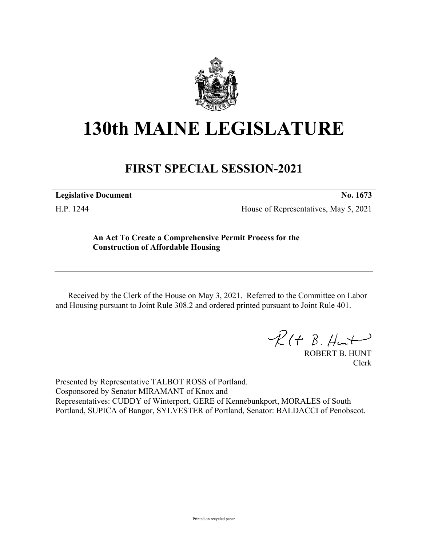

## **130th MAINE LEGISLATURE**

## **FIRST SPECIAL SESSION-2021**

**Legislative Document No. 1673**

H.P. 1244 House of Representatives, May 5, 2021

**An Act To Create a Comprehensive Permit Process for the Construction of Affordable Housing**

Received by the Clerk of the House on May 3, 2021. Referred to the Committee on Labor and Housing pursuant to Joint Rule 308.2 and ordered printed pursuant to Joint Rule 401.

 $\mathcal{R}(t \; \mathcal{B}, \#m)$ 

ROBERT B. HUNT Clerk

Presented by Representative TALBOT ROSS of Portland. Cosponsored by Senator MIRAMANT of Knox and Representatives: CUDDY of Winterport, GERE of Kennebunkport, MORALES of South Portland, SUPICA of Bangor, SYLVESTER of Portland, Senator: BALDACCI of Penobscot.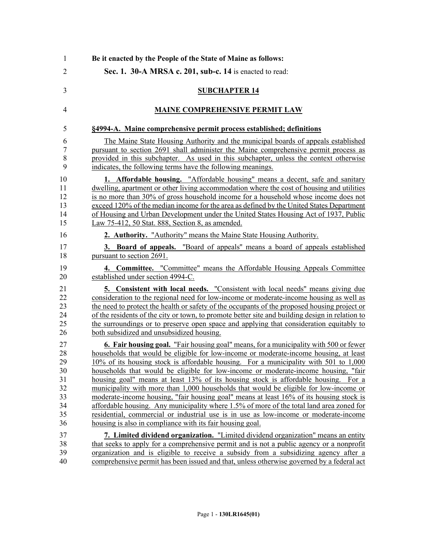| Be it enacted by the People of the State of Maine as follows:                                                                                                                                                                                                                                                                                                                                                                                                                                                                                                                                                                          |
|----------------------------------------------------------------------------------------------------------------------------------------------------------------------------------------------------------------------------------------------------------------------------------------------------------------------------------------------------------------------------------------------------------------------------------------------------------------------------------------------------------------------------------------------------------------------------------------------------------------------------------------|
| Sec. 1. 30-A MRSA c. 201, sub-c. 14 is enacted to read:                                                                                                                                                                                                                                                                                                                                                                                                                                                                                                                                                                                |
| <b>SUBCHAPTER 14</b>                                                                                                                                                                                                                                                                                                                                                                                                                                                                                                                                                                                                                   |
| <b>MAINE COMPREHENSIVE PERMIT LAW</b>                                                                                                                                                                                                                                                                                                                                                                                                                                                                                                                                                                                                  |
| §4994-A. Maine comprehensive permit process established; definitions                                                                                                                                                                                                                                                                                                                                                                                                                                                                                                                                                                   |
| The Maine State Housing Authority and the municipal boards of appeals established<br>pursuant to section 2691 shall administer the Maine comprehensive permit process as<br>provided in this subchapter. As used in this subchapter, unless the context otherwise<br>indicates, the following terms have the following meanings.                                                                                                                                                                                                                                                                                                       |
| 1. Affordable housing. "Affordable housing" means a decent, safe and sanitary<br>dwelling, apartment or other living accommodation where the cost of housing and utilities<br>is no more than 30% of gross household income for a household whose income does not<br>exceed 120% of the median income for the area as defined by the United States Department<br>of Housing and Urban Development under the United States Housing Act of 1937, Public<br>Law 75-412, 50 Stat. 888, Section 8, as amended.                                                                                                                              |
| 2. Authority. "Authority" means the Maine State Housing Authority.                                                                                                                                                                                                                                                                                                                                                                                                                                                                                                                                                                     |
| 3. Board of appeals. "Board of appeals" means a board of appeals established<br>pursuant to section 2691.                                                                                                                                                                                                                                                                                                                                                                                                                                                                                                                              |
| 4. Committee. "Committee" means the Affordable Housing Appeals Committee<br>established under section 4994-C.                                                                                                                                                                                                                                                                                                                                                                                                                                                                                                                          |
| 5. Consistent with local needs. "Consistent with local needs" means giving due<br>consideration to the regional need for low-income or moderate-income housing as well as<br>the need to protect the health or safety of the occupants of the proposed housing project or<br>of the residents of the city or town, to promote better site and building design in relation to<br>the surroundings or to preserve open space and applying that consideration equitably to<br>both subsidized and unsubsidized housing.                                                                                                                   |
| 6. Fair housing goal. "Fair housing goal" means, for a municipality with 500 or fewer<br>households that would be eligible for low-income or moderate-income housing, at least<br>10% of its housing stock is affordable housing. For a municipality with 501 to 1,000<br>households that would be eligible for low-income or moderate-income housing, "fair<br>housing goal" means at least 13% of its housing stock is affordable housing. For a<br>municipality with more than 1,000 households that would be eligible for low-income or<br>moderate-income housing, "fair housing goal" means at least 16% of its housing stock is |
| affordable housing. Any municipality where 1.5% of more of the total land area zoned for<br>residential, commercial or industrial use is in use as low-income or moderate-income<br>housing is also in compliance with its fair housing goal.                                                                                                                                                                                                                                                                                                                                                                                          |
| 7. Limited dividend organization. "Limited dividend organization" means an entity                                                                                                                                                                                                                                                                                                                                                                                                                                                                                                                                                      |
| that seeks to apply for a comprehensive permit and is not a public agency or a nonprofit<br>organization and is eligible to receive a subsidy from a subsidizing agency after a<br>comprehensive permit has been issued and that, unless otherwise governed by a federal act                                                                                                                                                                                                                                                                                                                                                           |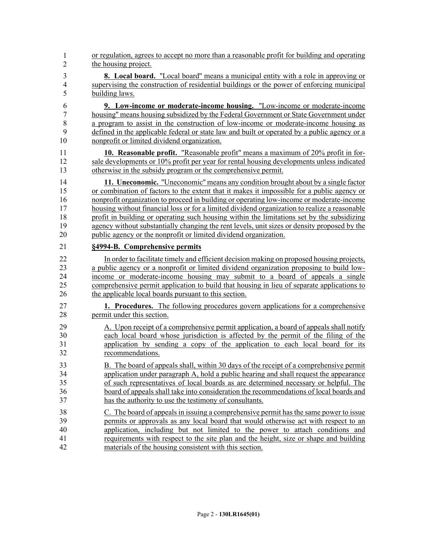| $\mathbf{1}$   | or regulation, agrees to accept no more than a reasonable profit for building and operating   |
|----------------|-----------------------------------------------------------------------------------------------|
| $\overline{2}$ | the housing project.                                                                          |
| 3              | <b>8.</b> Local board. "Local board" means a municipal entity with a role in approving or     |
| $\overline{4}$ | supervising the construction of residential buildings or the power of enforcing municipal     |
| 5              | building laws.                                                                                |
| 6              | 9. Low-income or moderate-income housing. "Low-income or moderate-income                      |
| 7              | housing" means housing subsidized by the Federal Government or State Government under         |
| 8              | a program to assist in the construction of low-income or moderate-income housing as           |
| 9              | defined in the applicable federal or state law and built or operated by a public agency or a  |
| 10             | nonprofit or limited dividend organization.                                                   |
| 11             | 10. Reasonable profit. "Reasonable profit" means a maximum of 20% profit in for-              |
| 12             | sale developments or 10% profit per year for rental housing developments unless indicated     |
| 13             | otherwise in the subsidy program or the comprehensive permit.                                 |
| 14             | 11. Uneconomic. "Uneconomic" means any condition brought about by a single factor             |
| 15             | or combination of factors to the extent that it makes it impossible for a public agency or    |
| 16             | nonprofit organization to proceed in building or operating low-income or moderate-income      |
| 17             | housing without financial loss or for a limited dividend organization to realize a reasonable |
| 18             | profit in building or operating such housing within the limitations set by the subsidizing    |
| 19             | agency without substantially changing the rent levels, unit sizes or density proposed by the  |
| 20             | public agency or the nonprofit or limited dividend organization.                              |
| 21             | §4994-B. Comprehensive permits                                                                |
| 22             | In order to facilitate timely and efficient decision making on proposed housing projects,     |
| 23             | a public agency or a nonprofit or limited dividend organization proposing to build low-       |
| 24             | income or moderate-income housing may submit to a board of appeals a single                   |
| 25             | comprehensive permit application to build that housing in lieu of separate applications to    |
| 26             | the applicable local boards pursuant to this section.                                         |
| 27             | <b>1. Procedures.</b> The following procedures govern applications for a comprehensive        |
| 28             | permit under this section.                                                                    |
| 29             | A. Upon receipt of a comprehensive permit application, a board of appeals shall notify        |
| 30             | each local board whose jurisdiction is affected by the permit of the filing of the            |
| 31             | application by sending a copy of the application to each local board for its                  |
| 32             | recommendations.                                                                              |
| 33             | B. The board of appeals shall, within 30 days of the receipt of a comprehensive permit        |
| 34             | application under paragraph A, hold a public hearing and shall request the appearance         |
| 35             | of such representatives of local boards as are determined necessary or helpful. The           |
| 36             | board of appeals shall take into consideration the recommendations of local boards and        |
| 37             | has the authority to use the testimony of consultants.                                        |
| 38             | C. The board of appeals in issuing a comprehensive permit has the same power to issue         |
| 39             | permits or approvals as any local board that would otherwise act with respect to an           |
| 40             | application, including but not limited to the power to attach conditions and                  |
| 41             | requirements with respect to the site plan and the height, size or shape and building         |
| 42             | materials of the housing consistent with this section.                                        |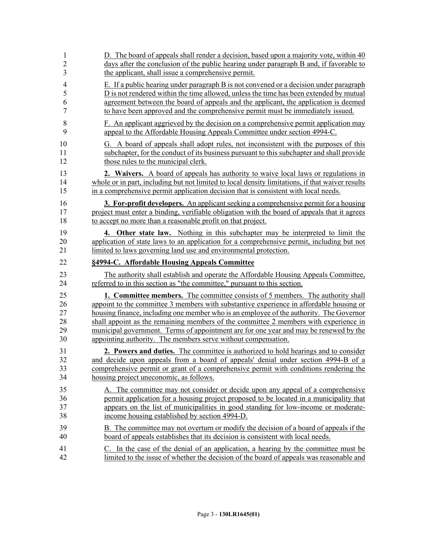| $\mathbf{1}$   | D. The board of appeals shall render a decision, based upon a majority vote, within 40           |
|----------------|--------------------------------------------------------------------------------------------------|
| $\overline{c}$ | days after the conclusion of the public hearing under paragraph B and, if favorable to           |
| 3              | the applicant, shall issue a comprehensive permit.                                               |
| 4              | E. If a public hearing under paragraph B is not convened or a decision under paragraph           |
| 5              | D is not rendered within the time allowed, unless the time has been extended by mutual           |
| 6              | agreement between the board of appeals and the applicant, the application is deemed              |
| 7              | to have been approved and the comprehensive permit must be immediately issued.                   |
| 8              | F. An applicant aggrieved by the decision on a comprehensive permit application may              |
| 9              | appeal to the Affordable Housing Appeals Committee under section 4994-C.                         |
| 10             | G. A board of appeals shall adopt rules, not inconsistent with the purposes of this              |
| 11             | subchapter, for the conduct of its business pursuant to this subchapter and shall provide        |
| 12             | those rules to the municipal clerk.                                                              |
| 13             | 2. Waivers. A board of appeals has authority to waive local laws or regulations in               |
| 14             | whole or in part, including but not limited to local density limitations, if that waiver results |
| 15             | in a comprehensive permit application decision that is consistent with local needs.              |
| 16             | <b>3. For-profit developers.</b> An applicant seeking a comprehensive permit for a housing       |
| 17             | project must enter a binding, verifiable obligation with the board of appeals that it agrees     |
| 18             | to accept no more than a reasonable profit on that project.                                      |
| 19             | 4. Other state law. Nothing in this subchapter may be interpreted to limit the                   |
| 20             | application of state laws to an application for a comprehensive permit, including but not        |
| 21             | limited to laws governing land use and environmental protection.                                 |
| 22             |                                                                                                  |
|                | §4994-C. Affordable Housing Appeals Committee                                                    |
| 23             | The authority shall establish and operate the Affordable Housing Appeals Committee,              |
| 24             | referred to in this section as "the committee," pursuant to this section.                        |
| 25             | <b>1. Committee members.</b> The committee consists of 5 members. The authority shall            |
| 26             | appoint to the committee 3 members with substantive experience in affordable housing or          |
| 27             | housing finance, including one member who is an employee of the authority. The Governor          |
| 28             | shall appoint as the remaining members of the committee 2 members with experience in             |
| 29             | municipal government. Terms of appointment are for one year and may be renewed by the            |
| 30             | appointing authority. The members serve without compensation.                                    |
| 31             | 2. Powers and duties. The committee is authorized to hold hearings and to consider               |
| 32             | and decide upon appeals from a board of appeals' denial under section 4994-B of a                |
| 33             | comprehensive permit or grant of a comprehensive permit with conditions rendering the            |
| 34             | housing project uneconomic, as follows.                                                          |
| 35             | A. The committee may not consider or decide upon any appeal of a comprehensive                   |
| 36             | permit application for a housing project proposed to be located in a municipality that           |
| 37             | appears on the list of municipalities in good standing for low-income or moderate-               |
| 38             | income housing established by section 4994-D.                                                    |
| 39             | B. The committee may not overturn or modify the decision of a board of appeals if the            |
| 40             | board of appeals establishes that its decision is consistent with local needs.                   |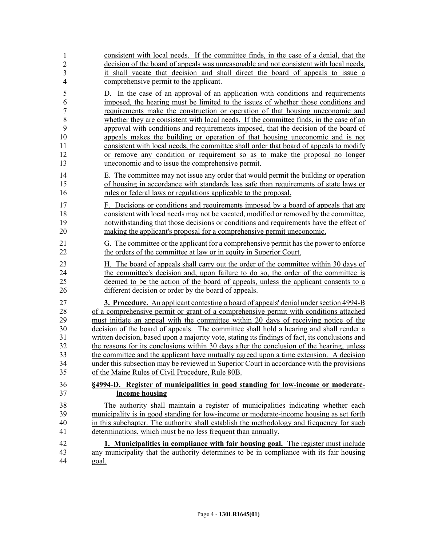| 1                                                                  | consistent with local needs. If the committee finds, in the case of a denial, that the                                                                                                                                                                                                                                                                                                                                                                                                                                                                                                                                                                                                                                                                                                                                                                                                                                                        |
|--------------------------------------------------------------------|-----------------------------------------------------------------------------------------------------------------------------------------------------------------------------------------------------------------------------------------------------------------------------------------------------------------------------------------------------------------------------------------------------------------------------------------------------------------------------------------------------------------------------------------------------------------------------------------------------------------------------------------------------------------------------------------------------------------------------------------------------------------------------------------------------------------------------------------------------------------------------------------------------------------------------------------------|
| $\overline{2}$                                                     | decision of the board of appeals was unreasonable and not consistent with local needs,                                                                                                                                                                                                                                                                                                                                                                                                                                                                                                                                                                                                                                                                                                                                                                                                                                                        |
| $\mathfrak{Z}$                                                     | it shall vacate that decision and shall direct the board of appeals to issue a                                                                                                                                                                                                                                                                                                                                                                                                                                                                                                                                                                                                                                                                                                                                                                                                                                                                |
| $\overline{4}$                                                     | comprehensive permit to the applicant.                                                                                                                                                                                                                                                                                                                                                                                                                                                                                                                                                                                                                                                                                                                                                                                                                                                                                                        |
| 5<br>6<br>$\sqrt{ }$<br>8<br>9<br>10<br>11<br>12<br>13<br>14<br>15 | In the case of an approval of an application with conditions and requirements<br>D.<br>imposed, the hearing must be limited to the issues of whether those conditions and<br>requirements make the construction or operation of that housing uneconomic and<br>whether they are consistent with local needs. If the committee finds, in the case of an<br>approval with conditions and requirements imposed, that the decision of the board of<br>appeals makes the building or operation of that housing uneconomic and is not<br>consistent with local needs, the committee shall order that board of appeals to modify<br>or remove any condition or requirement so as to make the proposal no longer<br>uneconomic and to issue the comprehensive permit.<br>E. The committee may not issue any order that would permit the building or operation<br>of housing in accordance with standards less safe than requirements of state laws or |
| 16                                                                 | rules or federal laws or regulations applicable to the proposal.                                                                                                                                                                                                                                                                                                                                                                                                                                                                                                                                                                                                                                                                                                                                                                                                                                                                              |
| 17                                                                 | F. Decisions or conditions and requirements imposed by a board of appeals that are                                                                                                                                                                                                                                                                                                                                                                                                                                                                                                                                                                                                                                                                                                                                                                                                                                                            |
| 18                                                                 | consistent with local needs may not be vacated, modified or removed by the committee,                                                                                                                                                                                                                                                                                                                                                                                                                                                                                                                                                                                                                                                                                                                                                                                                                                                         |
| 19                                                                 | notwithstanding that those decisions or conditions and requirements have the effect of                                                                                                                                                                                                                                                                                                                                                                                                                                                                                                                                                                                                                                                                                                                                                                                                                                                        |
| 20                                                                 | making the applicant's proposal for a comprehensive permit uneconomic.                                                                                                                                                                                                                                                                                                                                                                                                                                                                                                                                                                                                                                                                                                                                                                                                                                                                        |
| 21                                                                 | G. The committee or the applicant for a comprehensive permit has the power to enforce                                                                                                                                                                                                                                                                                                                                                                                                                                                                                                                                                                                                                                                                                                                                                                                                                                                         |
| 22                                                                 | the orders of the committee at law or in equity in Superior Court.                                                                                                                                                                                                                                                                                                                                                                                                                                                                                                                                                                                                                                                                                                                                                                                                                                                                            |
| 23                                                                 | H. The board of appeals shall carry out the order of the committee within 30 days of                                                                                                                                                                                                                                                                                                                                                                                                                                                                                                                                                                                                                                                                                                                                                                                                                                                          |
| 24                                                                 | the committee's decision and, upon failure to do so, the order of the committee is                                                                                                                                                                                                                                                                                                                                                                                                                                                                                                                                                                                                                                                                                                                                                                                                                                                            |
| 25                                                                 | deemed to be the action of the board of appeals, unless the applicant consents to a                                                                                                                                                                                                                                                                                                                                                                                                                                                                                                                                                                                                                                                                                                                                                                                                                                                           |
| 26                                                                 | different decision or order by the board of appeals.                                                                                                                                                                                                                                                                                                                                                                                                                                                                                                                                                                                                                                                                                                                                                                                                                                                                                          |
| 27                                                                 | 3. Procedure. An applicant contesting a board of appeals' denial under section 4994-B                                                                                                                                                                                                                                                                                                                                                                                                                                                                                                                                                                                                                                                                                                                                                                                                                                                         |
| 28                                                                 | of a comprehensive permit or grant of a comprehensive permit with conditions attached                                                                                                                                                                                                                                                                                                                                                                                                                                                                                                                                                                                                                                                                                                                                                                                                                                                         |
| 29                                                                 | must initiate an appeal with the committee within 20 days of receiving notice of the                                                                                                                                                                                                                                                                                                                                                                                                                                                                                                                                                                                                                                                                                                                                                                                                                                                          |
| 30                                                                 | decision of the board of appeals. The committee shall hold a hearing and shall render a                                                                                                                                                                                                                                                                                                                                                                                                                                                                                                                                                                                                                                                                                                                                                                                                                                                       |
| 31                                                                 | written decision, based upon a majority vote, stating its findings of fact, its conclusions and                                                                                                                                                                                                                                                                                                                                                                                                                                                                                                                                                                                                                                                                                                                                                                                                                                               |
| 32                                                                 | the reasons for its conclusions within 30 days after the conclusion of the hearing, unless                                                                                                                                                                                                                                                                                                                                                                                                                                                                                                                                                                                                                                                                                                                                                                                                                                                    |
| 33                                                                 | the committee and the applicant have mutually agreed upon a time extension. A decision                                                                                                                                                                                                                                                                                                                                                                                                                                                                                                                                                                                                                                                                                                                                                                                                                                                        |
| 34                                                                 | under this subsection may be reviewed in Superior Court in accordance with the provisions                                                                                                                                                                                                                                                                                                                                                                                                                                                                                                                                                                                                                                                                                                                                                                                                                                                     |
| 35                                                                 | of the Maine Rules of Civil Procedure, Rule 80B.                                                                                                                                                                                                                                                                                                                                                                                                                                                                                                                                                                                                                                                                                                                                                                                                                                                                                              |
| 36                                                                 | §4994-D. Register of municipalities in good standing for low-income or moderate-                                                                                                                                                                                                                                                                                                                                                                                                                                                                                                                                                                                                                                                                                                                                                                                                                                                              |
| 37                                                                 | income housing                                                                                                                                                                                                                                                                                                                                                                                                                                                                                                                                                                                                                                                                                                                                                                                                                                                                                                                                |
| 38                                                                 | The authority shall maintain a register of municipalities indicating whether each                                                                                                                                                                                                                                                                                                                                                                                                                                                                                                                                                                                                                                                                                                                                                                                                                                                             |
| 39                                                                 | municipality is in good standing for low-income or moderate-income housing as set forth                                                                                                                                                                                                                                                                                                                                                                                                                                                                                                                                                                                                                                                                                                                                                                                                                                                       |
| 40                                                                 | in this subchapter. The authority shall establish the methodology and frequency for such                                                                                                                                                                                                                                                                                                                                                                                                                                                                                                                                                                                                                                                                                                                                                                                                                                                      |
| 41                                                                 | determinations, which must be no less frequent than annually.                                                                                                                                                                                                                                                                                                                                                                                                                                                                                                                                                                                                                                                                                                                                                                                                                                                                                 |
| 42                                                                 | 1. Municipalities in compliance with fair housing goal. The register must include                                                                                                                                                                                                                                                                                                                                                                                                                                                                                                                                                                                                                                                                                                                                                                                                                                                             |
| 43                                                                 | any municipality that the authority determines to be in compliance with its fair housing                                                                                                                                                                                                                                                                                                                                                                                                                                                                                                                                                                                                                                                                                                                                                                                                                                                      |
| 44                                                                 | goal.                                                                                                                                                                                                                                                                                                                                                                                                                                                                                                                                                                                                                                                                                                                                                                                                                                                                                                                                         |